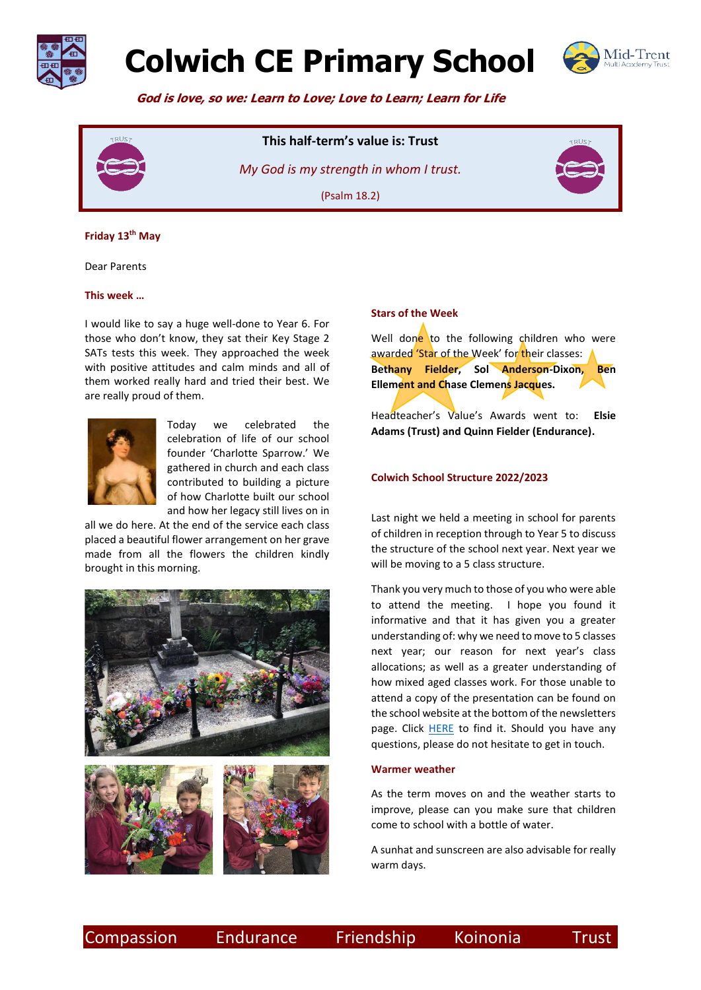

# **Colwich CE Primary School**



 **God is love, so we: Learn to Love; Love to Learn; Learn for Life**



# **This half-term's value is: Trust**

*My God is my strength in whom I trust.*  (Psalm 18.2)



### **Friday 13th May**

Dear Parents

#### **This week …**

I would like to say a huge well-done to Year 6. For those who don't know, they sat their Key Stage 2 SATs tests this week. They approached the week with positive attitudes and calm minds and all of them worked really hard and tried their best. We are really proud of them.



Today we celebrated the celebration of life of our school founder 'Charlotte Sparrow.' We gathered in church and each class contributed to building a picture of how Charlotte built our school and how her legacy still lives on in

all we do here. At the end of the service each class placed a beautiful flower arrangement on her grave made from all the flowers the children kindly brought in this morning.





#### **Stars of the Week**

Well done to the following children who were awarded 'Star of the Week' for their classes: **Bethany Fielder, Sol Anderson-Dixon, Ben Ellement and Chase Clemens Jacques.**

Headteacher's Value's Awards went to: **Elsie Adams (Trust) and Quinn Fielder (Endurance).**

### **Colwich School Structure 2022/2023**

Last night we held a meeting in school for parents of children in reception through to Year 5 to discuss the structure of the school next year. Next year we will be moving to a 5 class structure.

Thank you very much to those of you who were able to attend the meeting. I hope you found it informative and that it has given you a greater understanding of: why we need to move to 5 classes next year; our reason for next year's class allocations; as well as a greater understanding of how mixed aged classes work. For those unable to attend a copy of the presentation can be found on the school website at the bottom of the newsletters page. Click [HERE](https://www.colwich.staffs.sch.uk/news-events/newsletter/) to find it. Should you have any questions, please do not hesitate to get in touch.

#### **Warmer weather**

As the term moves on and the weather starts to improve, please can you make sure that children come to school with a bottle of water.

A sunhat and sunscreen are also advisable for really warm days.

Compassion Endurance Friendship Koinonia Trust